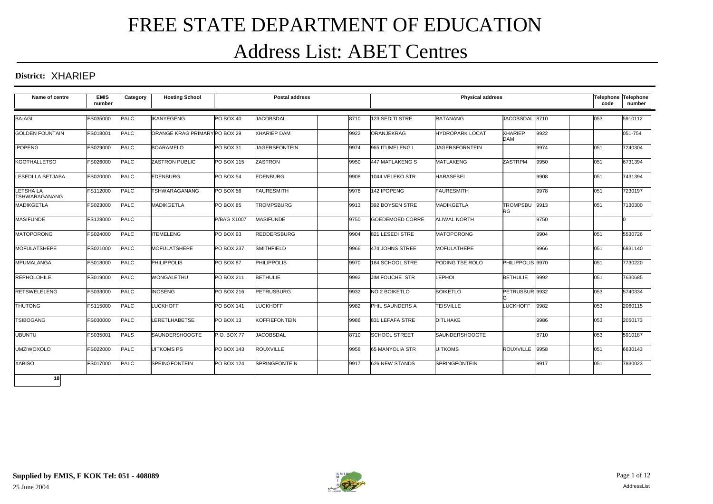# FREE STATE DEPARTMENT OF EDUCATION Address List: ABET Centres

#### **District:** XHARIEP

| Name of centre                          | <b>EMIS</b><br>number | Category    | <b>Hosting School</b>         |                    | <b>Postal address</b> |      |                        | <b>Physical address</b> |                              |      | <b>Telephone</b><br>code | Telephone<br>number |
|-----------------------------------------|-----------------------|-------------|-------------------------------|--------------------|-----------------------|------|------------------------|-------------------------|------------------------------|------|--------------------------|---------------------|
| <b>BA-AGI</b>                           | FS035000              | <b>PALC</b> | <b>IKANYEGENG</b>             | PO BOX 40          | <b>JACOBSDAL</b>      | 8710 | 123 SEDITI STRE        | <b>RATANANG</b>         | JACOBSDAL 8710               |      | 053                      | 5910112             |
| <b>GOLDEN FOUNTAIN</b>                  | FS018001              | <b>PALC</b> | ORANGE KRAG PRIMARY PO BOX 29 |                    | <b>XHARIEP DAM</b>    | 9922 | ORANJEKRAG             | <b>HYDROPARK LOCAT</b>  | <b>XHARIEP</b><br><b>DAM</b> | 9922 |                          | 051-754             |
| <b>IPOPENG</b>                          | FS029000              | <b>PALC</b> | <b>BOARAMELO</b>              | PO BOX 31          | <b>JAGERSFONTEIN</b>  | 9974 | 965 ITUMELENG L        | <b>JAGERSFORNTEIN</b>   |                              | 9974 | 051                      | 7240304             |
| <b>KGOTHALLETSO</b>                     | FS026000              | <b>PALC</b> | <b>ZASTRON PUBLIC</b>         | <b>PO BOX 115</b>  | <b>ZASTRON</b>        | 9950 | 447 MATLAKENG S        | <b>MATLAKENG</b>        | <b>ZASTRPM</b>               | 9950 | 051                      | 6731394             |
| <b>LESEDI LA SETJABA</b>                | FS020000              | PALC        | <b>EDENBURG</b>               | PO BOX 54          | <b>EDENBURG</b>       | 9908 | 1044 VELEKO STR        | <b>HARASEBEI</b>        |                              | 9908 | 051                      | 7431394             |
| <b>LETSHALA</b><br><b>TSHWARAGANANG</b> | FS112000              | <b>PALC</b> | <b>TSHWARAGANANG</b>          | PO BOX 56          | <b>FAURESMITH</b>     | 9978 | 142 IPOPENG            | <b>FAURESMITH</b>       |                              | 9978 | 051                      | 7230197             |
| <b>MADIKGETLA</b>                       | FS023000              | <b>PALC</b> | <b>MADIKGETLA</b>             | PO BOX 85          | <b>TROMPSBURG</b>     | 9913 | 392 BOYSEN STRE        | <b>MADIKGETLA</b>       | TROMPSBU 9913<br>RG          |      | 051                      | 7130300             |
| <b>MASIFUNDE</b>                        | FS128000              | PALC        |                               | <b>P/BAG X1007</b> | <b>MASIFUNDE</b>      | 9750 | GOEDEMOED CORRE        | <b>ALIWAL NORTH</b>     |                              | 9750 |                          |                     |
| <b>MATOPORONG</b>                       | FS024000              | <b>PALC</b> | <b>ITEMELENG</b>              | PO BOX 93          | <b>REDDERSBURG</b>    | 9904 | 821 LESEDI STRE        | <b>MATOPORONG</b>       |                              | 9904 | 051                      | 5530726             |
| MOFULATSHEPE                            | FS021000              | PALC        | <b>MOFULATSHEPE</b>           | <b>PO BOX 237</b>  | SMITHFIELD            | 9966 | 474 JOHNS STREE        | <b>MOFULATHEPE</b>      |                              | 9966 | 051                      | 6831140             |
| MPUMALANGA                              | <b>FS018000</b>       | <b>PALC</b> | <b>PHILIPPOLIS</b>            | PO BOX 87          | <b>PHILIPPOLIS</b>    | 9970 | 184 SCHOOL STRE        | PODING TSE ROLO         | PHILIPPOLIS 9970             |      | 051                      | 7730220             |
| <b>REPHOLOHILE</b>                      | FS019000              | <b>PALC</b> | <b>WONGALETHU</b>             | <b>PO BOX 211</b>  | <b>BETHULIE</b>       | 9992 | JIM FOUCHE STR         | <b>LEPHOI</b>           | <b>BETHULIE</b>              | 9992 | 051                      | 7630685             |
| <b>RETSWELELENG</b>                     | FS033000              | PALC        | <b>INOSENG</b>                | <b>PO BOX 216</b>  | PETRUSBURG            | 9932 | NO 2 BOIKETLO          | <b>BOIKETLO</b>         | PETRUSBUR 9932               |      | 053                      | 5740334             |
| <b>THUTONG</b>                          | FS115000              | <b>PALC</b> | <b>LUCKHOFF</b>               | <b>PO BOX 141</b>  | <b>LUCKHOFF</b>       | 9982 | PHIL SAUNDERS A        | <b>TEISVILLE</b>        | <b>LUCKHOFF</b>              | 9982 | 053                      | 2060115             |
| <b>TSIBOGANG</b>                        | FS030000              | <b>PALC</b> | <b>LERETLHABETSE</b>          | PO BOX 13          | <b>KOFFIEFONTEIN</b>  | 9986 | 831 LEFAFA STRE        | <b>DITLHAKE</b>         |                              | 9986 | 053                      | 2050173             |
| <b>UBUNTU</b>                           | FS035001              | PALS        | <b>SAUNDERSHOOGTE</b>         | P.O. BOX 77        | <b>JACOBSDAL</b>      | 8710 | <b>SCHOOL STREET</b>   | <b>SAUNDERSHOOGTE</b>   |                              | 8710 | 053                      | 5910187             |
| <b>UMZIWOXOLO</b>                       | FS022000              | <b>PALC</b> | <b>UITKOMS PS</b>             | <b>PO BOX 143</b>  | <b>ROUXVILLE</b>      | 9958 | <b>65 MANYOLIA STR</b> | <b>UITKOMS</b>          | ROUXVILLE 9958               |      | 051                      | 6630143             |
| <b>XABISO</b>                           | <b>FS017000</b>       | <b>PALC</b> | <b>SPEINGFONTEIN</b>          | <b>PO BOX 124</b>  | <b>SPRINGFONTEIN</b>  | 9917 | 626 NEW STANDS         | <b>SPRINGFONTEIN</b>    |                              | 9917 | 051                      | 7830023             |
| 18                                      |                       |             |                               |                    |                       |      |                        |                         |                              |      |                          |                     |

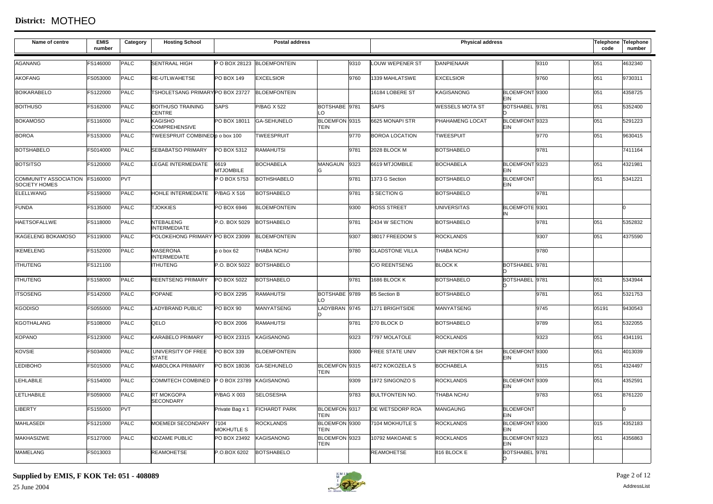#### **District:** MOTHEO

| Name of centre                                         | <b>EMIS</b><br>number | Category    | <b>Hosting School</b>                     |                           | <b>Postal address</b>      |                              |      |                        | <b>Physical address</b>    | Telephone Telephone<br>code    | number |         |
|--------------------------------------------------------|-----------------------|-------------|-------------------------------------------|---------------------------|----------------------------|------------------------------|------|------------------------|----------------------------|--------------------------------|--------|---------|
| AGANANG                                                | FS146000              | PALC        | <b>SENTRAAL HIGH</b>                      |                           | P O BOX 28123 BLOEMFONTEIN |                              | 9310 | <b>LOUW WEPENER ST</b> | <b>DANPIENAAR</b>          | 9310                           | 051    | 4632340 |
| <b>AKOFANG</b>                                         | FS053000              | PALC        | <b>RE-UTLWAHETSE</b>                      | <b>PO BOX 149</b>         | <b>EXCELSIOR</b>           |                              | 9760 | 1339 MAHLATSWE         | <b>EXCELSIOR</b>           | 9760                           | 051    | 9730311 |
| <b>BOIKARABELO</b>                                     | FS122000              | <b>PALC</b> | TSHOLETSANG PRIMARY PO BOX 23727          |                           | <b>BLOEMFONTEIN</b>        |                              |      | 16184 LOBERE ST        | <b>KAGISANONG</b>          | BLOEMFONT 9300<br><b>EIN</b>   | 051    | 4358725 |
| <b>BOITHUSO</b>                                        | FS162000              | <b>PALC</b> | <b>BOITHUSO TRAINING</b><br><b>CENTRE</b> | <b>SAPS</b>               | <b>P/BAG X 522</b>         | BOTSHABE 9781<br>$\Omega$    |      | <b>SAPS</b>            | <b>WESSELS MOTA ST</b>     | BOTSHABEL 9781                 | 051    | 5352400 |
| <b>BOKAMOSO</b>                                        | FS116000              | <b>PALC</b> | KAGISHO<br><b>COMPREHENSIVE</b>           | PO BOX 18011              | <b>GA-SEHUNELO</b>         | BLOEMFON 9315<br>TEIN        |      | 6625 MONAPI STR        | PHAHAMENG LOCAT            | BLOEMFONT 9323<br>EIN          | 051    | 5291223 |
| <b>BOROA</b>                                           | FS153000              | <b>PALC</b> | <b>TWEESPRUIT COMBINEDp o box 100</b>     |                           | TWEESPRUIT                 |                              | 9770 | <b>BOROA LOCATION</b>  | <b>TWEESPUIT</b>           | 9770                           | 051    | 9630415 |
| <b>BOTSHABELO</b>                                      | FS014000              | PALC        | SEBABATSO PRIMARY                         | PO BOX 5312               | <b>RAMAHUTSI</b>           |                              | 9781 | 2028 BLOCK M           | <b>BOTSHABELO</b>          | 9781                           |        | 7411164 |
| <b>BOTSITSO</b>                                        | FS120000              | PALC        | LEGAE INTERMEDIATE                        | 6619<br><b>MTJOMBILE</b>  | <b>BOCHABELA</b>           | MANGAUN                      | 9323 | 6619 MTJOMBILE         | <b>BOCHABELA</b>           | BLOEMFONT 9323<br>EIN          | 051    | 4321981 |
| COMMUNITY ASSOCIATION FS160000<br><b>SOCIETY HOMES</b> |                       | PVT         |                                           | P O BOX 5753              | <b>BOTHSHABELO</b>         |                              | 9781 | 1373 G Section         | <b>BOTSHABELO</b>          | <b>BLOEMFONT</b><br><b>EIN</b> | 051    | 5341221 |
| <b>ELELLWANG</b>                                       | FS159000              | <b>PALC</b> | HOHLE INTERMEDIATE                        | <b>P/BAG X 516</b>        | <b>BOTSHABELO</b>          |                              | 9781 | 3 SECTION G            | <b>BOTSHABELO</b>          | 9781                           |        |         |
| <b>FUNDA</b>                                           | FS135000              | PALC        | <b>TJOKKIES</b>                           | PO BOX 6946               | <b>BLOEMFONTEIN</b>        |                              | 9300 | <b>ROSS STREET</b>     | <b>UNIVERSITAS</b>         | BLOEMFOTE 9301                 |        | n       |
| <b>HAETSOFALLWE</b>                                    | FS118000              | <b>PALC</b> | <b>NTEBALENG</b><br><b>INTERMEDIATE</b>   | P.O. BOX 5029             | <b>BOTSHABELO</b>          |                              | 9781 | 2434 W SECTION         | <b>BOTSHABELO</b>          | 9781                           | 051    | 5352832 |
| <b>IKAGELENG BOKAMOSO</b>                              | FS119000              | PALC        | POLOKEHONG PRIMARY PO BOX 23099           |                           | <b>BLOEMFONTEIN</b>        |                              | 9307 | 38017 FREEDOM S        | <b>ROCKLANDS</b>           | 9307                           | 051    | 4375590 |
| <b>IKEMELENG</b>                                       | FS152000              | <b>PALC</b> | <b>MASERONA</b><br><b>INTERMEDIATE</b>    | p o box 62                | THABA NCHU                 |                              | 9780 | <b>GLADSTONE VILLA</b> | <b>THABA NCHU</b>          | 9780                           |        |         |
| <b>ITHUTENG</b>                                        | FS121100              |             | <b>ITHUTENG</b>                           | P.O. BOX 5022             | <b>BOTSHABELO</b>          |                              |      | C/O REENTSENG          | <b>BLOCK K</b>             | BOTSHABEL 9781                 |        |         |
| <b>ITHUTENG</b>                                        | FS158000              | <b>PALC</b> | REENTSENG PRIMARY                         | PO BOX 5022               | <b>BOTSHABELO</b>          |                              | 9781 | 1686 BLOCK K           | <b>BOTSHABELO</b>          | BOTSHABEL 9781                 | 051    | 5343944 |
| <b>ITSOSENG</b>                                        | FS142000              | <b>PALC</b> | <b>POPANE</b>                             | PO BOX 2295               | <b>RAMAHUTSI</b>           | BOTSHABE 9789<br>$\Omega$    |      | 85 Section B           | <b>BOTSHABELO</b>          | 9781                           | 051    | 5321753 |
| <b>KGODISO</b>                                         | FS055000              | <b>PALC</b> | LADYBRAND PUBLIC                          | PO BOX 90                 | <b>MANYATSENG</b>          | ADYBRAN 9745                 |      | 1271 BRIGHTSIDE        | <b>MANYATSENG</b>          | 9745                           | 05191  | 9430543 |
| <b>KGOTHALANG</b>                                      | FS108000              | PALC        | QELO                                      | PO BOX 2006               | <b>RAMAHUTSI</b>           |                              | 9781 | 270 BLOCK D            | <b>BOTSHABELO</b>          | 9789                           | 051    | 5322055 |
| <b>KOPANO</b>                                          | FS123000              | <b>PALC</b> | KARABELO PRIMARY                          | PO BOX 23315              | <b>KAGISANONG</b>          |                              | 9323 | 7797 MOLATOLE          | <b>ROCKLANDS</b>           | 9323                           | 051    | 4341191 |
| <b>KOVSIE</b>                                          | FS034000              | <b>PALC</b> | UNIVERSITY OF FREE<br><b>STATE</b>        | PO BOX 339                | <b>BLOEMFONTEIN</b>        |                              | 9300 | <b>FREE STATE UNIV</b> | <b>CNR REKTOR &amp; SH</b> | BLOEMFONT 9300<br>EIN          | 051    | 4013039 |
| <b>LEDIBOHO</b>                                        | FS015000              | PALC        | <b>MABOLOKA PRIMARY</b>                   | PO BOX 18036              | <b>GA-SEHUNELO</b>         | BLOEMFON 9315<br><b>TEIN</b> |      | 4672 KOKOZELA S        | <b>BOCHABELA</b>           | 9315                           | 051    | 4324497 |
| LEHLABILE                                              | FS154000              | PALC        | <b>COMMTECH COMBINED</b>                  | P O BOX 23789             | <b>KAGISANONG</b>          |                              | 9309 | 1972 SINGONZO S        | <b>ROCKLANDS</b>           | BLOEMFONT 9309<br>EIN          | 051    | 4352591 |
| <b>LETLHABILE</b>                                      | FS059000              | PALC        | <b>RT MOKGOPA</b><br><b>SECONDARY</b>     | P/BAG X 003               | <b>SELOSESHA</b>           |                              | 9783 | <b>BULTFONTEIN NO.</b> | THABA NCHU                 | 9783                           | 051    | 8761220 |
| <b>LIBERTY</b>                                         | FS155000              | <b>PVT</b>  |                                           | Private Bag x 1           | <b>FICHARDT PARK</b>       | BLOEMFON 9317<br>TEIN        |      | DE WETSDORP ROA        | <b>MANGAUNG</b>            | <b>BLOEMFONT</b><br>EIN        |        |         |
| <b>MAHLASEDI</b>                                       | FS121000              | PALC        | MOEMEDI SECONDARY                         | 7104<br><b>MOKHUTLE S</b> | <b>ROCKLANDS</b>           | BLOEMFON 9300<br>TEIN        |      | 7104 MOKHUTLE S        | <b>ROCKLANDS</b>           | BLOEMFONT 9300<br><b>EIN</b>   | 015    | 4352183 |
| <b>MAKHASIZWE</b>                                      | FS127000              | PALC        | <b>NDZAME PUBLIC</b>                      | PO BOX 23492              | KAGISANONG                 | BLOEMFON 9323<br>TEIN        |      | 10792 MAKOANE S        | <b>ROCKLANDS</b>           | BLOEMFONT 9323<br>EIN          | 051    | 4356863 |
| <b>MAMELANG</b>                                        | FS013003              |             | <b>REAMOHETSE</b>                         | P.O.BOX 6202              | <b>BOTSHABELO</b>          |                              |      | <b>REAMOHETSE</b>      | 816 BLOCK E                | BOTSHABEL 9781                 |        |         |

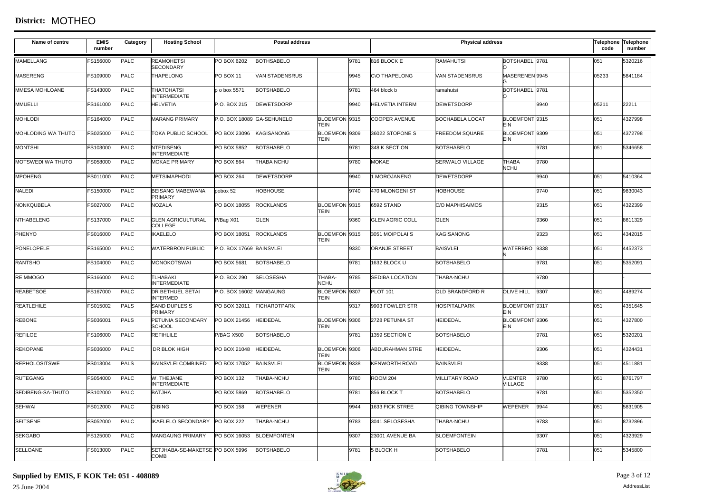| Name of centre           | <b>EMIS</b><br>number | Category    | <b>Hosting School</b>                           |                            | <b>Postal address</b> |                              |                        | <b>Physical address</b> |                                  |      | code  | Telephone Telephone<br>number |
|--------------------------|-----------------------|-------------|-------------------------------------------------|----------------------------|-----------------------|------------------------------|------------------------|-------------------------|----------------------------------|------|-------|-------------------------------|
| <b>MAMELLANG</b>         | FS156000              | PALC        | REAMOHETSI<br><b>SECONDARY</b>                  | PO BOX 6202                | <b>BOTHSABELO</b>     | 9781                         | 816 BLOCK E            | <b>RAMAHUTSI</b>        | BOTSHABEL 9781                   |      | 051   | 5320216                       |
| <b>MASERENG</b>          | FS109000              | <b>PALC</b> | <b>THAPELONG</b>                                | <b>PO BOX 11</b>           | <b>VAN STADENSRUS</b> | 9945                         | <b>CIO THAPELONG</b>   | <b>VAN STADENSRUS</b>   | MASERENEN 9945                   |      | 05233 | 5841184                       |
| MMESA MOHLOANE           | FS143000              | <b>PALC</b> | THATOHATSI<br><b>INTERMEDIATE</b>               | p o box 5571               | <b>BOTSHABELO</b>     | 9781                         | 464 block b            | ramahutsi               | BOTSHABEL 9781                   |      |       |                               |
| <b>MMUELLI</b>           | FS161000              | <b>PALC</b> | <b>HELVETIA</b>                                 | P.O. BOX 215               | <b>DEWETSDORP</b>     | 9940                         | <b>HELVETIA INTERM</b> | <b>DEWETSDORP</b>       |                                  | 9940 | 05211 | 22211                         |
| <b>MOHLODI</b>           | FS164000              | <b>PALC</b> | <b>MARANG PRIMARY</b>                           | P.O. BOX 18089 GA-SEHUNELO |                       | BLOEMFON 9315<br>TEIN        | COOPER AVENUE          | <b>BOCHABELA LOCAT</b>  | BLOEMFONT 9315<br>FIN            |      | 051   | 4327998                       |
| MOHLODING WA THUTO       | FS025000              | <b>PALC</b> | TOKA PUBLIC SCHOOL                              | PO BOX 23096               | KAGISANONG            | BLOEMFON 9309<br><b>TEIN</b> | 36022 STOPONE S        | <b>FREEDOM SQUARE</b>   | BLOEMFONT 9309<br>EIN            |      | 051   | 4372798                       |
| <b>MONTSHI</b>           | FS103000              | <b>PALC</b> | <b>NTEDISENG</b><br><b>INTERMEDIATE</b>         | PO BOX 5852                | <b>BOTSHABELO</b>     | 9781                         | 348 K SECTION          | <b>BOTSHABELO</b>       |                                  | 9781 | 051   | 5346658                       |
| <b>MOTSWEDI WA THUTO</b> | FS058000              | <b>PALC</b> | <b>MOKAE PRIMARY</b>                            | PO BOX 864                 | THABA NCHU            | 9780                         | <b>MOKAE</b>           | <b>SERWALO VILLAGE</b>  | <b>THABA</b><br><b>NCHU</b>      | 9780 |       |                               |
| <b>MPOHENG</b>           | FS011000              | <b>PALC</b> | <b>METSIMAPHODI</b>                             | PO BOX 264                 | <b>DEWETSDORP</b>     | 9940                         | 1 MOROJANENG           | <b>DEWETSDORP</b>       |                                  | 9940 | 051   | 5410364                       |
| NALEDI                   | FS150000              | <b>PALC</b> | <b>BEISANG MABEWANA</b><br>PRIMARY              | pobox 52                   | <b>HOBHOUSE</b>       | 9740                         | 470 MLONGENI ST        | <b>HOBHOUSE</b>         |                                  | 9740 | 051   | 9830043                       |
| NONKQUBELA               | FS027000              | <b>PALC</b> | <b>NOZALA</b>                                   | PO BOX 18055               | <b>ROCKLANDS</b>      | BLOEMFON 9315<br>TEIN        | 6592 STAND             | C/O MAPHISA/MOS         |                                  | 9315 | 051   | 4322399                       |
| <b>NTHABELENG</b>        | FS137000              | <b>PALC</b> | <b>GLEN AGRICULTURAL</b><br>COLLEGE             | P/Bag X01                  | GLEN                  | 9360                         | <b>GLEN AGRIC COLL</b> | <b>GLEN</b>             |                                  | 9360 | 051   | 8611329                       |
| PHENYO                   | FS016000              | <b>PALC</b> | KAELELO                                         | PO BOX 18051               | <b>ROCKLANDS</b>      | BLOEMFON 9315<br><b>TEIN</b> | 3051 MOIPOLAI S        | KAGISANONG              |                                  | 9323 | 051   | 4342015                       |
| PONELOPELE               | FS165000              | <b>PALC</b> | <b>WATERBRON PUBLIC</b>                         | P.O. BOX 17669 BAINSVLEI   |                       | 9330                         | <b>ORANJE STREET</b>   | <b>BAISVLEI</b>         | WATERBRO 9338                    |      | 051   | 4452373                       |
| <b>RANTSHO</b>           | FS104000              | <b>PALC</b> | <b>MONOKOTSWAI</b>                              | PO BOX 5681                | <b>BOTSHABELO</b>     | 9781                         | 1632 BLOCK U           | <b>BOTSHABELO</b>       |                                  | 9781 | 051   | 5352091                       |
| RE MMOGO                 | FS166000              | <b>PALC</b> | <b>TLHABAKI</b><br><b>INTERMEDIATE</b>          | P.O. BOX 290               | <b>SELOSESHA</b>      | THABA-<br>9785<br>NCHU       | <b>SEDIBA LOCATION</b> | THABA-NCHU              |                                  | 9780 |       |                               |
| <b>REABETSOE</b>         | FS167000              | <b>PALC</b> | <b>DR BETHUEL SETAI</b><br><b>INTERMED</b>      | P.O. BOX 16002 MANGAUNG    |                       | BLOEMFON 9307<br><b>TEIN</b> | <b>PLOT 101</b>        | OLD BRANDFORD R         | <b>OLIVE HILL</b>                | 9307 | 051   | 4489274                       |
| REATLEHILE               | FS015002              | PALS        | SAND DUPLESIS<br>PRIMARY                        | PO BOX 32011               | <b>FICHARDTPARK</b>   | 9317                         | 9903 FOWLER STR        | <b>HOSPITALPARK</b>     | BLOEMFONT 9317<br>EIN            |      | 051   | 4351645                       |
| <b>REBONE</b>            | FS036001              | <b>PALS</b> | PETUNIA SECONDARY<br><b>SCHOOL</b>              | PO BOX 21456               | <b>HEIDEDAL</b>       | BLOEMFON 9306<br>TEIN        | 2728 PETUNIA ST        | <b>HEIDEDAL</b>         | BLOEMFONT 9306<br>EIN            |      | 051   | 4327800                       |
| <b>REFILOE</b>           | FS106000              | <b>PALC</b> | <b>REFIHLILE</b>                                | <b>P/BAG X500</b>          | <b>BOTSHABELO</b>     | 9781                         | 1359 SECTION C         | <b>BOTSHABELO</b>       |                                  | 9781 | 051   | 5320201                       |
| <b>REKOPANE</b>          | FS036000              | <b>PALC</b> | DR BLOK HIGH                                    | PO BOX 21048               | <b>HEIDEDAL</b>       | BLOEMFON 9306<br><b>TEIN</b> | <b>ABDURAHMAN STRE</b> | <b>HEIDEDAL</b>         |                                  | 9306 | 051   | 4324431                       |
| <b>REPHOLOSITSWE</b>     | FS013004              | <b>PALS</b> | <b>BAINSVLEI COMBINED</b>                       | PO BOX 17052               | <b>BAINSVLEI</b>      | BLOEMFON 9338<br>TEIN        | <b>KENWORTH ROAD</b>   | <b>BAINSVLEI</b>        |                                  | 9338 | 051   | 4511881                       |
| <b>RUTEGANG</b>          | FS054000              | <b>PALC</b> | W. THEJANE<br><b>INTERMEDIATE</b>               | PO BOX 132                 | THABA-NCHU            | 9780                         | <b>ROOM 204</b>        | <b>MILLITARY ROAD</b>   | <b>VLENTER</b><br><b>VILLAGE</b> | 9780 | 051   | 8761797                       |
| SEDIBENG-SA-THUTO        | FS102000              | <b>PALC</b> | <b>BATJHA</b>                                   | PO BOX 5869                | <b>BOTSHABELO</b>     | 9781                         | 856 BLOCK T            | <b>BOTSHABELO</b>       |                                  | 9781 | 051   | 5352350                       |
| SEHWAI                   | FS012000              | <b>PALC</b> | QIBING                                          | <b>PO BOX 158</b>          | <b>WEPENER</b>        | 9944                         | 1633 FICK STREE        | <b>QIBING TOWNSHIP</b>  | <b>WEPENER</b>                   | 9944 | 051   | 5831905                       |
| <b>SEITSENE</b>          | FS052000              | <b>PALC</b> | KAELELO SECONDARY                               | <b>PO BOX 222</b>          | THABA-NCHU            | 9783                         | 3041 SELOSESHA         | THABA-NCHU              |                                  | 9783 | 051   | 8732896                       |
| <b>SEKGABO</b>           | FS125000              | <b>PALC</b> | <b>MANGAUNG PRIMARY</b>                         | PO BOX 16053               | <b>BLOEMFONTEN</b>    | 9307                         | 23001 AVENUE BA        | <b>BLOEMFONTEIN</b>     |                                  | 9307 | 051   | 4323929                       |
| <b>SELLOANE</b>          | FS013000              | <b>PALC</b> | SETJHABA-SE-MAKETSE IPO BOX 5996<br><b>COMB</b> |                            | <b>BOTSHABELO</b>     | 9781                         | 5 BLOCK H              | <b>BOTSHABELO</b>       |                                  | 9781 | 051   | 5345800                       |

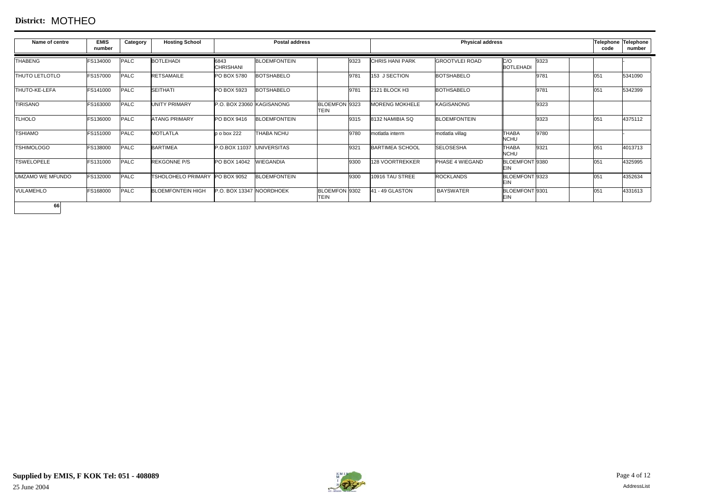#### **District:** MOTHEO

| Name of centre          | <b>EMIS</b><br>number | Category    | <b>Hosting School</b>          |                           | <b>Postal address</b> |                              |                        | <b>Physical address</b> |                              |      | code | Telephone Telephone<br>number |
|-------------------------|-----------------------|-------------|--------------------------------|---------------------------|-----------------------|------------------------------|------------------------|-------------------------|------------------------------|------|------|-------------------------------|
| <b>THABENG</b>          | FS134000              | <b>PALC</b> | <b>BOTLEHADI</b>               | 6843<br><b>CHRISHANI</b>  | <b>BLOEMFONTEIN</b>   | 9323                         | <b>CHRIS HANI PARK</b> | <b>GROOTVLEI ROAD</b>   | C/O<br><b>BOTLEHADI</b>      | 9323 |      |                               |
| <b>THUTO LETLOTLO</b>   | FS157000              | PALC        | <b>RETSAMAILE</b>              | PO BOX 5780               | <b>BOTSHABELO</b>     | 9781                         | 153 J SECTION          | <b>BOTSHABELO</b>       |                              | 9781 | 051  | 5341090                       |
| <b>THUTO-KE-LEFA</b>    | FS141000              | PALC        | <b>SEITHATI</b>                | PO BOX 5923               | <b>BOTSHABELO</b>     | 9781                         | 2121 BLOCK H3          | <b>BOTHSABELO</b>       |                              | 9781 | 051  | 5342399                       |
| <b>TIRISANO</b>         | FS163000              | PALC        | <b>UNITY PRIMARY</b>           | P.O. BOX 23060 KAGISANONG |                       | BLOEMFON 9323<br><b>TEIN</b> | <b>MORENG MOKHELE</b>  | <b>KAGISANONG</b>       |                              | 9323 |      |                               |
| <b>TLHOLO</b>           | FS136000              | PALC        | <b>ATANG PRIMARY</b>           | PO BOX 9416               | <b>BLOEMFONTEIN</b>   | 9315                         | 8132 NAMIBIA SQ        | <b>BLOEMFONTEIN</b>     |                              | 9323 | 051  | 4375112                       |
| <b>TSHIAMO</b>          | FS151000              | <b>PALC</b> | <b>MOTLATLA</b>                | p o box 222               | <b>THABA NCHU</b>     | 9780                         | motlatla interm        | motlatla villag         | <b>THABA</b><br><b>NCHU</b>  | 9780 |      |                               |
| <b>TSHIMOLOGO</b>       | FS138000              | <b>PALC</b> | <b>BARTIMEA</b>                | P.O.BOX 11037 UNIVERSITAS |                       | 9321                         | <b>BARTIMEA SCHOOL</b> | <b>SELOSESHA</b>        | <b>THABA</b><br><b>NCHU</b>  | 9321 | 051  | 4013713                       |
| <b>TSWELOPELE</b>       | FS131000              | <b>PALC</b> | <b>REKGONNE P/S</b>            | PO BOX 14042              | <b>WIEGANDIA</b>      | 9300                         | 128 VOORTREKKER        | PHASE 4 WIEGAND         | BLOEMFONT 9380<br>EIN        |      | 051  | 4325995                       |
| <b>UMZAMO WE MFUNDO</b> | FS132000              | PALC        | TSHOLOHELO PRIMARY PO BOX 9052 |                           | <b>BLOEMFONTEIN</b>   | 9300                         | 10916 TAU STREE        | <b>ROCKLANDS</b>        | BLOEMFONT 9323<br><b>EIN</b> |      | 051  | 4352634                       |
| <b>VULAMEHLO</b>        | FS168000              | PALC        | <b>BLOEMFONTEIN HIGH</b>       | P.O. BOX 13347 NOORDHOEK  |                       | BLOEMFON 9302<br><b>TEIN</b> | 41 - 49 GLASTON        | <b>BAYSWATER</b>        | BLOEMFONT 9301<br>EIN        |      | 051  | 4331613                       |
| 66                      |                       |             |                                |                           |                       |                              |                        |                         |                              |      |      |                               |

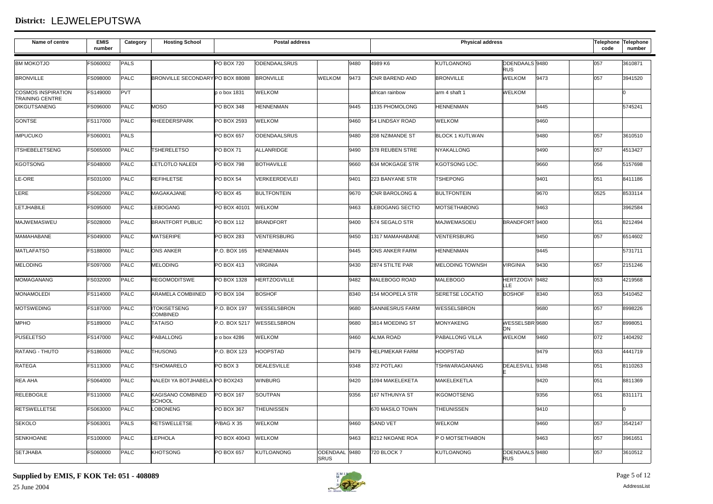# **District:** LEJWELEPUTSWA

| Name of centre                                      | <b>EMIS</b><br>number | Category    | <b>Hosting School</b>                  |                   | <b>Postal address</b> |                              |      |                        | <b>Physical address</b> |                              |      | code | Telephone Telephone<br>number |
|-----------------------------------------------------|-----------------------|-------------|----------------------------------------|-------------------|-----------------------|------------------------------|------|------------------------|-------------------------|------------------------------|------|------|-------------------------------|
| <b>BM MOKOTJO</b>                                   | FS060002              | <b>PALS</b> |                                        | <b>PO BOX 720</b> | <b>ODENDAALSRUS</b>   |                              | 9480 | 4989 K6                | <b>KUTLOANONG</b>       | ODENDAALS 9480<br><b>RUS</b> |      | 057  | 3610871                       |
| <b>BRONVILLE</b>                                    | FS098000              | PALC        | BRONVILLE SECONDARY PO BOX 88088       |                   | <b>BRONVILLE</b>      | <b>WELKOM</b>                | 9473 | CNR BAREND AND         | <b>BRONVILLE</b>        | <b>WELKOM</b>                | 9473 | 057  | 3941520                       |
| <b>COSMOS INSPIRATION</b><br><b>TRAINING CENTRE</b> | FS149000              | <b>PVT</b>  |                                        | p o box 1831      | WELKOM                |                              |      | african rainbow        | arm 4 shaft 1           | <b>WELKOM</b>                |      |      | lo.                           |
| <b>DIKGUTSANENG</b>                                 | FS096000              | PALC        | <b>MOSO</b>                            | PO BOX 348        | <b>HENNENMAN</b>      |                              | 9445 | 1135 PHOMOLONG         | <b>HENNENMAN</b>        |                              | 9445 |      | 5745241                       |
| <b>GONTSE</b>                                       | FS117000              | PALC        | RHEEDERSPARK                           | PO BOX 2593       | WELKOM                |                              | 9460 | 54 LINDSAY ROAD        | WELKOM                  |                              | 9460 |      |                               |
| <b>IMPUCUKO</b>                                     | FS060001              | <b>PALS</b> |                                        | PO BOX 657        | ODENDAALSRUS          |                              | 9480 | 208 NZIMANDE ST        | <b>BLOCK 1 KUTLWAN</b>  |                              | 9480 | 057  | 3610510                       |
| <b>ITSHEBELETSENG</b>                               | FS065000              | PALC        | <b>TSHERELETSO</b>                     | PO BOX 71         | ALLANRIDGE            |                              | 9490 | 378 REUBEN STRE        | <b>NYAKALLONG</b>       |                              | 9490 | 057  | 4513427                       |
| <b>KGOTSONG</b>                                     | FS048000              | PALC        | <b>LETLOTLO NALEDI</b>                 | <b>PO BOX 798</b> | <b>BOTHAVILLE</b>     |                              | 9660 | 634 MOKGAGE STR        | KGOTSONG LOC.           |                              | 9660 | 056  | 5157698                       |
| LE-ORE                                              | FS031000              | PALC        | <b>REFIHLETSE</b>                      | PO BOX 54         | VERKEERDEVLEI         |                              | 9401 | 223 BANYANE STR        | <b>TSHEPONG</b>         |                              | 9401 | 051  | 8411186                       |
| LERE                                                | FS062000              | PALC        | MAGAKAJANE                             | PO BOX 45         | <b>BULTFONTEIN</b>    |                              | 9670 | CNR BAROLONG &         | <b>BULTFONTEIN</b>      |                              | 9670 | 0525 | 8533114                       |
| <b>LETJHABILE</b>                                   | FS095000              | PALC        | LEBOGANG                               | PO BOX 40101      | <b>WELKOM</b>         |                              | 9463 | <b>LEBOGANG SECTIO</b> | <b>MOTSETHABONG</b>     |                              | 9463 |      | 3962584                       |
| <b>MAJWEMASWEU</b>                                  | FS028000              | PALC        | <b>BRANTFORT PUBLIC</b>                | PO BOX 112        | <b>BRANDFORT</b>      |                              | 9400 | 574 SEGALO STR         | <b>MAJWEMASOEU</b>      | BRANDFORT 9400               |      | 051  | 8212494                       |
| MAMAHABANE                                          | FS049000              | PALC        | <b>MATSERIPE</b>                       | PO BOX 283        | VENTERSBURG           |                              | 9450 | 1317 MAMAHABANE        | <b>VENTERSBURG</b>      |                              | 9450 | 057  | 6514602                       |
| <b>MATLAFATSO</b>                                   | FS188000              | PALC        | <b>ONS ANKER</b>                       | P.O. BOX 165      | <b>HENNENMAN</b>      |                              | 9445 | ONS ANKER FARM         | <b>HENNENMAN</b>        |                              | 9445 |      | 5731711                       |
| <b>MELODING</b>                                     | FS097000              | PALC        | <b>MELODING</b>                        | PO BOX 413        | <b>VIRGINIA</b>       |                              | 9430 | 2874 STILTE PAR        | <b>MELODING TOWNSH</b>  | <b>VIRGINIA</b>              | 9430 | 057  | 2151246                       |
| MOMAGANANG                                          | FS032000              | PALC        | <b>REGOMODITSWE</b>                    | PO BOX 1328       | <b>HERTZOGVILLE</b>   |                              | 9482 | MALEBOGO ROAD          | <b>MALEBOGO</b>         | HERTZOGVI 9482<br>ЦE         |      | 053  | 4219568                       |
| <b>MONAMOLEDI</b>                                   | FS114000              | PALC        | ARAMELA COMBIINED                      | PO BOX 104        | <b>BOSHOF</b>         |                              | 8340 | 154 MOOPELA STR        | <b>SERETSE LOCATIO</b>  | <b>BOSHOF</b>                | 8340 | 053  | 5410452                       |
| <b>MOTSWEDING</b>                                   | FS187000              | <b>PALC</b> | <b>ITOKISETSENG</b><br><b>COMBINED</b> | P.O. BOX 197      | WESSELSBRON           |                              | 9680 | SANNIESRUS FARM        | WESSELSBRON             |                              | 9680 | 057  | 8998226                       |
| <b>MPHO</b>                                         | FS189000              | PALC        | <b>TATAISO</b>                         | P.O. BOX 5217     | <b>WESSELSBRON</b>    |                              | 9680 | 3814 MOEDING ST        | <b>MONYAKENG</b>        | WESSELSBR 9680<br>ON         |      | 057  | 8998051                       |
| <b>PUSELETSO</b>                                    | FS147000              | <b>PALC</b> | <b>PABALLONG</b>                       | p o box 4286      | <b>WELKOM</b>         |                              | 9460 | <b>ALMA ROAD</b>       | PABALLONG VILLA         | <b>WELKOM</b>                | 9460 | 072  | 1404292                       |
| <b>RATANG - THUTO</b>                               | FS186000              | PALC        | <b>THUSONG</b>                         | P.O. BOX 123      | <b>HOOPSTAD</b>       |                              | 9479 | <b>HELPMEKAR FARM</b>  | <b>HOOPSTAD</b>         |                              | 9479 | 053  | 4441719                       |
| <b>RATEGA</b>                                       | FS113000              | PALC        | <b>TSHOMARELO</b>                      | PO BOX 3          | <b>DEALESVILLE</b>    |                              | 9348 | 372 POTLAKI            | TSHWARAGANANG           | DEALESVILL 9348              |      | 051  | 8110263                       |
| <b>REA AHA</b>                                      | FS064000              | PALC        | NALEDI YA BOTJHABELA PO BOX243         |                   | <b>WINBURG</b>        |                              | 9420 | 1094 MAKELEKETA        | <b>MAKELEKETLA</b>      |                              | 9420 | 051  | 8811369                       |
| <b>RELEBOGILE</b>                                   | FS110000              | PALC        | KAGISANO COMBINED<br><b>SCHOOL</b>     | <b>PO BOX 167</b> | <b>SOUTPAN</b>        |                              | 9356 | 167 NTHUNYA ST         | <b>IKGOMOTSENG</b>      |                              | 9356 | 051  | 8311171                       |
| <b>RETSWELLETSE</b>                                 | FS063000              | PALC        | OBONENG                                | <b>PO BOX 367</b> | <b>THEUNISSEN</b>     |                              |      | 670 MASILO TOWN        | <b>THEUNISSEN</b>       |                              | 9410 |      | I٥                            |
| <b>SEKOLO</b>                                       | FS063001              | <b>PALS</b> | <b>RETSWELLETSE</b>                    | P/BAG X 35        | WELKOM                |                              | 9460 | <b>SAND VET</b>        | <b>WELKOM</b>           |                              | 9460 | 057  | 3542147                       |
| <b>SENKHOANE</b>                                    | FS100000              | PALC        | <b>LEPHOLA</b>                         | PO BOX 40043      | <b>WELKOM</b>         |                              | 9463 | 8212 NKOANE ROA        | P O MOTSETHABON         |                              | 9463 | 057  | 3961651                       |
| <b>SETJHABA</b>                                     | FS060000              | PALC        | <b>KHOTSONG</b>                        | PO BOX 657        | <b>KUTLOANONG</b>     | ODENDAAL 9480<br><b>SRUS</b> |      | 720 BLOCK 7            | <b>KUTLOANONG</b>       | ODENDAALS 9480<br><b>RUS</b> |      | 057  | 3610512                       |

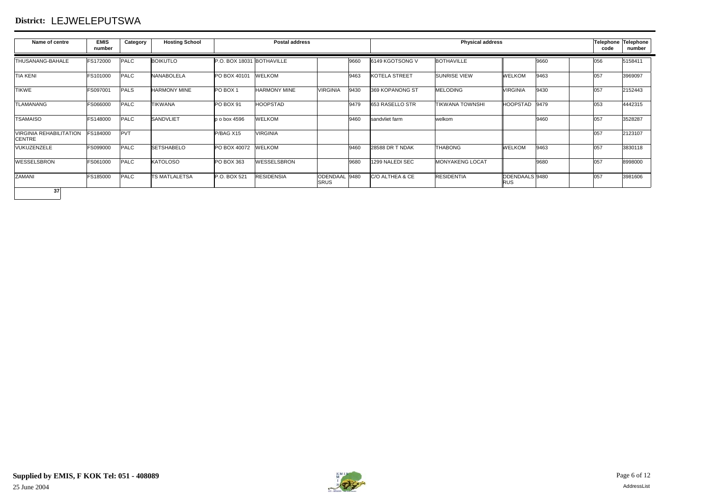## **District:** LEJWELEPUTSWA

| Name of centre                                  | <b>EMIS</b><br>number | Category    | <b>Hosting School</b> |                           | <b>Postal address</b> |                              |      |                      | <b>Physical address</b> |                              |      | code | Telephone Telephone<br>number |
|-------------------------------------------------|-----------------------|-------------|-----------------------|---------------------------|-----------------------|------------------------------|------|----------------------|-------------------------|------------------------------|------|------|-------------------------------|
| <b>THUSANANG-BAHALE</b>                         | FS172000              | <b>PALC</b> | <b>BOIKUTLO</b>       | P.O. BOX 18031 BOTHAVILLE |                       |                              | 9660 | 6149 KGOTSONG V      | <b>BOTHAVILLE</b>       |                              | 9660 | 056  | 5158411                       |
| <b>TIA KENI</b>                                 | FS101000              | <b>PALC</b> | <b>NANABOLELA</b>     | PO BOX 40101              | <b>WELKOM</b>         |                              | 9463 | <b>KOTELA STREET</b> | <b>SUNRISE VIEW</b>     | <b>WELKOM</b>                | 9463 | 057  | 3969097                       |
| <b>TIKWE</b>                                    | FS097001              | <b>PALS</b> | <b>HARMONY MINE</b>   | PO BOX 1                  | <b>HARMONY MINE</b>   | <b>VIRGINIA</b>              | 9430 | 369 KOPANONG ST      | <b>MELODING</b>         | <b>VIRGINIA</b>              | 9430 | 057  | 2152443                       |
| <b>TLAMANANG</b>                                | FS066000              | <b>PALC</b> | <b>TIKWANA</b>        | PO BOX 91                 | <b>HOOPSTAD</b>       |                              | 9479 | 653 RASELLO STR      | <b>TIKWANA TOWNSHI</b>  | <b>HOOPSTAD</b>              | 9479 | 053  | 4442315                       |
| <b>TSAMAISO</b>                                 | FS148000              | <b>PALC</b> | <b>SANDVLIET</b>      | p o box 4596              | <b>WELKOM</b>         |                              | 9460 | sandvliet farm       | welkom                  |                              | 9460 | 057  | 3528287                       |
| <b>VIRGINIA REHABILITATION</b><br><b>CENTRE</b> | FS184000              | PVT         |                       | P/BAG X15                 | <b>VIRGINIA</b>       |                              |      |                      |                         |                              |      | 057  | 2123107                       |
| VUKUZENZELE                                     | FS099000              | <b>PALC</b> | <b>SETSHABELO</b>     | PO BOX 40072              | <b>WELKOM</b>         |                              | 9460 | 28588 DR T NDAK      | <b>THABONG</b>          | <b>WELKOM</b>                | 9463 | 057  | 3830118                       |
| <b>WESSELSBRON</b>                              | FS061000              | <b>PALC</b> | <b>KATOLOSO</b>       | PO BOX 363                | <b>WESSELSBRON</b>    |                              | 9680 | 1299 NALEDI SEC      | <b>MONYAKENG LOCAT</b>  |                              | 9680 | 057  | 8998000                       |
| <b>ZAMANI</b>                                   | FS185000              | <b>PALC</b> | <b>TS MATLALETSA</b>  | P.O. BOX 521              | <b>RESIDENSIA</b>     | ODENDAAL 9480<br><b>SRUS</b> |      | C/O ALTHEA & CE      | <b>RESIDENTIA</b>       | ODENDAALS 9480<br><b>RUS</b> |      | 057  | 3981606                       |
| 37                                              |                       |             |                       |                           |                       |                              |      |                      |                         |                              |      |      |                               |

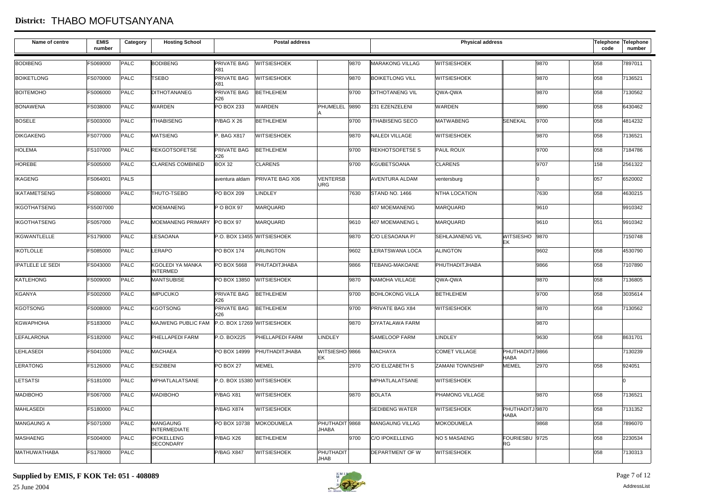#### **District:** THABO MOFUTSANYANA

| Name of centre          | <b>EMIS</b><br>number | Category    | <b>Hosting School</b>                  |                            | <b>Postal address</b>      |                               |      |                        | <b>Physical address</b> |                               |      | code | Telephone Telephone<br>number |
|-------------------------|-----------------------|-------------|----------------------------------------|----------------------------|----------------------------|-------------------------------|------|------------------------|-------------------------|-------------------------------|------|------|-------------------------------|
| <b>BODIBENG</b>         | FS069000              | <b>PALC</b> | <b>BODIBENG</b>                        | PRIVATE BAG<br>X81         | <b>WITSIESHOEK</b>         |                               | 9870 | <b>MARAKONG VILLAG</b> | <b>WITSIESHOEK</b>      |                               | 9870 | 058  | 7897011                       |
| <b>BOIKETLONG</b>       | FS070000              | <b>PALC</b> | TSEBO                                  | PRIVATE BAG<br>X81         | <b>WITSIESHOEK</b>         |                               | 9870 | <b>BOIKETLONG VILL</b> | <b>WITSIESHOEK</b>      |                               | 9870 | 058  | 7136521                       |
| <b>BOITEMOHO</b>        | FS006000              | <b>PALC</b> | <b>DITHOTANANEG</b>                    | PRIVATE BAG<br>X26         | <b>BETHLEHEM</b>           |                               | 9700 | <b>DITHOTANENG VIL</b> | QWA-QWA                 |                               | 9870 | 058  | 7130562                       |
| <b>BONAWENA</b>         | FS038000              | <b>PALC</b> | <b>WARDEN</b>                          | PO BOX 233                 | <b>WARDEN</b>              | PHUMELEL                      | 9890 | 231 EZENZELENI         | WARDEN                  |                               | 9890 | 058  | 6430462                       |
| <b>BOSELE</b>           | FS003000              | <b>PALC</b> | <b>ITHABISENG</b>                      | P/BAG X 26                 | <b>BETHLEHEM</b>           |                               | 9700 | <b>ITHABISENG SECO</b> | <b>MATWABENG</b>        | <b>SENEKAL</b>                | 9700 | 058  | 4814232                       |
| <b>DIKGAKENG</b>        | FS077000              | PALC        | <b>MATSIENG</b>                        | P. BAG X817                | <b>WITSIESHOEK</b>         |                               | 9870 | NALEDI VILLAGE         | <b>WITSIESHOEK</b>      |                               | 9870 | 058  | 7136521                       |
| <b>HOLEMA</b>           | FS107000              | PALC        | <b>REKGOTSOFETSE</b>                   | PRIVATE BAG<br>〈26         | <b>BETHLEHEM</b>           |                               | 9700 | <b>REKHOTSOFETSE S</b> | <b>PAUL ROUX</b>        |                               | 9700 | 058  | 7184786                       |
| <b>HOREBE</b>           | FS005000              | <b>PALC</b> | <b>CLARENS COMBINED</b>                | <b>BOX 32</b>              | <b>CLARENS</b>             |                               | 9700 | <b>KGUBETSOANA</b>     | <b>CLARENS</b>          |                               | 9707 | 158  | 2561322                       |
| <b>IKAGENG</b>          | FS064001              | PALS        |                                        | aventura aldam             | PRIVATE BAG X06            | <b>VENTERSB</b><br><b>URG</b> |      | <b>AVENTURA ALDAM</b>  | ventersburg             |                               | I٥   | 057  | 6520002                       |
| <b>IKATAMETSENG</b>     | FS080000              | <b>PALC</b> | THUTO-TSEBO                            | PO BOX 209                 | <b>LINDLEY</b>             |                               | 7630 | STAND NO. 1466         | NTHA LOCATION           |                               | 7630 | 058  | 4630215                       |
| <b>IKGOTHATSENG</b>     | FS5007000             |             | <b>MOEMANENG</b>                       | P O BOX 97                 | MARQUARD                   |                               |      | 407 MOEMANENG          | MARQUARD                |                               | 9610 |      | 9910342                       |
| <b>IKGOTHATSENG</b>     | FS057000              | PALC        | MOEMANENG PRIMARY                      | PO BOX 97                  | MARQUARD                   |                               | 9610 | 407 MOEMANENG L        | MARQUARD                |                               | 9610 | 051  | 9910342                       |
| <b>IKGWANTLELLE</b>     | FS179000              | <b>PALC</b> | LESAOANA                               |                            | P.O. BOX 13455 WITSIESHOEK |                               | 9870 | C/O LESAOANA P/        | <b>SEHLAJANENG VIL</b>  | WITSIESHO 9870<br>EK          |      |      | 7150748                       |
| <b>IKOTLOLLE</b>        | FS085000              | <b>PALC</b> | LERAPO                                 | PO BOX 174                 | <b>ARLINGTON</b>           |                               | 9602 | LERATSWANA LOCA        | <b>ALINGTON</b>         |                               | 9602 | 058  | 4530790                       |
| <b>IPATLELE LE SEDI</b> | FS043000              | PALC        | KGOLEDI YA MANKA<br><b>INTERMED</b>    | PO BOX 5668                | PHUTADITJHABA              |                               | 9866 | TEBANG-MAKOANE         | PHUTHADITJHABA          |                               | 9866 | 058  | 7107890                       |
| <b>KATLEHONG</b>        | FS009000              | <b>PALC</b> | <b>MANTSUBISE</b>                      | PO BOX 13850               | <b>WITSIESHOEK</b>         |                               | 9870 | NAMOHA VILLAGE         | QWA-QWA                 |                               | 9870 | 058  | 7136805                       |
| <b>KGANYA</b>           | FS002000              | <b>PALC</b> | <b>IMPUCUKO</b>                        | PRIVATE BAG<br>X26         | <b>BETHLEHEM</b>           |                               | 9700 | <b>BOHLOKONG VILLA</b> | <b>BETHLEHEM</b>        |                               | 9700 | 058  | 3035614                       |
| <b>KGOTSONG</b>         | FS008000              | <b>PALC</b> | <b>KGOTSONG</b>                        | PRIVATE BAG<br>X26         | <b>BETHLEHEM</b>           |                               | 9700 | PRIVATE BAG X84        | <b>WITSIESHOEK</b>      |                               | 9870 | 058  | 7130562                       |
| <b>KGWAPHOHA</b>        | FS183000              | <b>PALC</b> | MAJWENG PUBLIC FAM                     | P.O. BOX 17269 WITSIESHOEK |                            |                               | 9870 | <b>DIYATALAWA FARM</b> |                         |                               | 9870 |      |                               |
| <b>LEFALARONA</b>       | FS182000              | <b>PALC</b> | PHELLAPEDI FARM                        | P.O. BOX225                | PHELLAPEDI FARM            | <b>LINDLEY</b>                |      | SAMELOOP FARM          | <b>LINDLEY</b>          |                               | 9630 | 058  | 8631701                       |
| <b>LEHLASEDI</b>        | FS041000              | <b>PALC</b> | <b>MACHAEA</b>                         | PO BOX 14999               | PHUTHADITJHABA             | WITSIESHO 9866<br>EK          |      | <b>MACHAYA</b>         | <b>COMET VILLAGE</b>    | PHUTHADITJ 9866<br>HABA       |      |      | 7130239                       |
| <b>LERATONG</b>         | FS126000              | <b>PALC</b> | <b>ESIZIBENI</b>                       | PO BOX 27                  | <b>MEMEL</b>               |                               | 2970 | C/O ELIZABETH S        | <b>ZAMANI TOWNSHIP</b>  | MEMEL                         | 2970 | 058  | 924051                        |
| <b>LETSATSI</b>         | FS181000              | <b>PALC</b> | <b>MPHATLALATSANE</b>                  |                            | P.O. BOX 15380 WITSIESHOEK |                               |      | MPHATLALATSANE         | WITSIESHOEK             |                               |      |      | l٥                            |
| <b>MADIBOHO</b>         | FS067000              | <b>PALC</b> | <b>MADIBOHO</b>                        | P/BAG X81                  | WITSIESHOEK                |                               | 9870 | <b>BOLATA</b>          | PHAMONG VILLAGE         |                               | 9870 | 058  | 7136521                       |
| <b>MAHLASEDI</b>        | FS180000              | <b>PALC</b> |                                        | P/BAG X874                 | <b>WITSIESHOEK</b>         |                               |      | SEDIBENG WATER         | WITSIESHOEK             | PHUTHADITJ9870<br><b>HABA</b> |      | 058  | 7131352                       |
| <b>MANGAUNG A</b>       | FS071000              | <b>PALC</b> | <b>MANGAUNG</b><br><b>INTERMEDIATE</b> | PO BOX 10738               | <b>MOKODUMELA</b>          | PHUTHADIT 9868<br>JHABA       |      | <b>MANGAUNG VILLAG</b> | <b>MOKODUMELA</b>       |                               | 9868 | 058  | 7896070                       |
| <b>MASHAENG</b>         | FS004000              | <b>PALC</b> | <b>IPOKELLENG</b><br>SECONDARY         | P/BAG X26                  | <b>BETHLEHEM</b>           |                               | 9700 | <b>C/O IPOKELLENG</b>  | NO 5 MASAENG            | FOURIESBU 9725<br>RG          |      | 058  | 2230534                       |
| <b>MATHUWATHABA</b>     | FS178000              | <b>PALC</b> |                                        | P/BAG X847                 | <b>WITSIESHOEK</b>         | PHUTHADIT<br><b>JHAB</b>      |      | DEPARTMENT OF W        | WITSIESHOEK             |                               |      | 058  | 7130313                       |

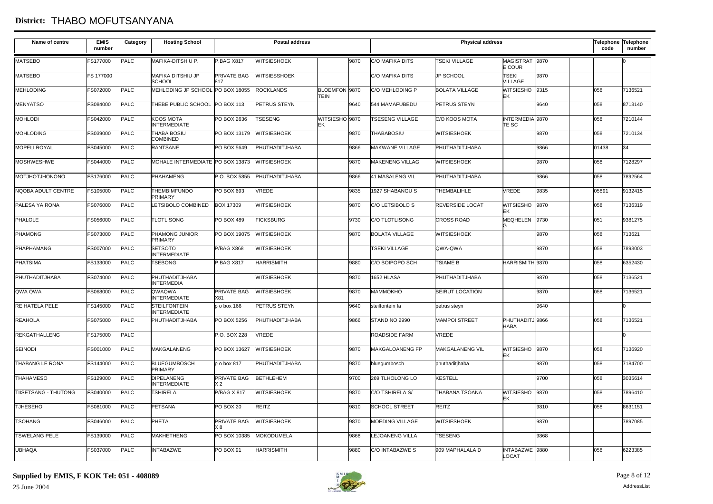#### **District:** THABO MOFUTSANYANA

| Name of centre         | <b>EMIS</b><br>number | Category | <b>Hosting School</b>                      |                           | <b>Postal address</b> |                              |      |                        | <b>Physical address</b> |                                 |      | code  | Telephone Telephone<br>number |
|------------------------|-----------------------|----------|--------------------------------------------|---------------------------|-----------------------|------------------------------|------|------------------------|-------------------------|---------------------------------|------|-------|-------------------------------|
| <b>MATSEBO</b>         | FS177000              | PALC     | MAFIKA-DITSHIU P.                          | <b>P.BAG X817</b>         | <b>WITSIESHOEK</b>    |                              | 9870 | <b>C/O MAFIKA DITS</b> | <b>TSEKI VILLAGE</b>    | MAGISTRAT 9870<br>E COUR        |      |       |                               |
| <b>MATSEBO</b>         | FS 177000             |          | <b>MAFIKA DITSHIU JP</b><br><b>SCHOOL</b>  | PRIVATE BAG<br>817        | <b>WITSIESSHOEK</b>   |                              |      | <b>C/O MAFIKA DITS</b> | <b>JP SCHOOL</b>        | <b>TSEKI</b><br><b>VILLAGE</b>  | 9870 |       |                               |
| <b>MEHLODING</b>       | FS072000              | PALC     | MEHLODING JP SCHOOL                        | PO BOX 18055              | <b>ROCKLANDS</b>      | BLOEMFON 9870<br><b>TEIN</b> |      | C/O MEHLODING P        | <b>BOLATA VILLAGE</b>   | WITSIESHO 9315<br>EΚ            |      | 058   | 7136521                       |
| <b>MENYATSO</b>        | FS084000              | PALC     | THEBE PUBLIC SCHOOL                        | PO BOX 113                | PETRUS STEYN          |                              | 9640 | 544 MAMAFUBEDU         | PETRUS STEYN            |                                 | 9640 | 058   | 8713140                       |
| <b>MOHLODI</b>         | FS042000              | PALC     | KOOS MOTA<br><b>INTERMEDIATE</b>           | PO BOX 2636               | <b>TSESENG</b>        | WITSIESHO 9870<br>FK         |      | <b>TSESENG VILLAGE</b> | C/O KOOS MOTA           | INTERMEDIA 9870<br><b>TE SC</b> |      | 058   | 7210144                       |
| <b>MOHLODING</b>       | FS039000              | PALC     | <b>THABA BOSIU</b><br><b>COMBINED</b>      | PO BOX 13179              | <b>WITSIESHOEK</b>    |                              | 9870 | <b>THABABOSIU</b>      | <b>WITSIESHOEK</b>      |                                 | 9870 | 058   | 7210134                       |
| <b>MOPELI ROYAL</b>    | FS045000              | PALC     | <b>RANTSANE</b>                            | PO BOX 5649               | PHUTHADITJHABA        |                              | 9866 | <b>MAKWANE VILLAGE</b> | PHUTHADITJHABA          |                                 | 9866 | 01438 | 34                            |
| <b>MOSHWESHWE</b>      | FS044000              | PALC     | MOHALE INTERMEDIATE PO BOX 13873           |                           | <b>WITSIESHOEK</b>    |                              | 9870 | <b>MAKENENG VILLAG</b> | <b>WITSIESHOEK</b>      |                                 | 9870 | 058   | 7128297                       |
| <b>MOTJHOTJHONONO</b>  | FS176000              | PALC     | <b>PHAHAMENG</b>                           | P.O. BOX 5855             | PHUTHADITJHABA        |                              | 9866 | <b>41 MASALENG VIL</b> | PHUTHADITJHABA          |                                 | 9866 | 058   | 7892564                       |
| NQOBA ADULT CENTRE     | FS105000              | PALC     | <b>THEMBIMFUNDO</b><br><b>PRIMARY</b>      | PO BOX 693                | VREDE                 |                              | 9835 | 1927 SHABANGU S        | <b>THEMBALIHLE</b>      | <b>VREDE</b>                    | 9835 | 05891 | 9132415                       |
| PALESA YA RONA         | FS076000              | PALC     | LETSIBOLO COMBINED                         | <b>BOX 17309</b>          | <b>WITSIESHOEK</b>    |                              | 9870 | C/O LETSIBOLO S        | <b>REVERSIDE LOCAT</b>  | WITSIESHO 9870<br>IEK           |      | 058   | 7136319                       |
| PHALOLE                | FS056000              | PALC     | <b>TLOTLISONG</b>                          | <b>PO BOX 489</b>         | <b>FICKSBURG</b>      |                              | 9730 | C/O TLOTLISONG         | <b>CROSS ROAD</b>       | MEQHELEN 9730                   |      | 051   | 9381275                       |
| <b>PHAMONG</b>         | FS073000              | PALC     | PHAMONG JUNIOR<br>PRIMARY                  | PO BOX 19075              | <b>WITSIESHOEK</b>    |                              | 9870 | <b>BOLATA VILLAGE</b>  | <b>WITSIESHOEK</b>      |                                 | 9870 | 058   | 713621                        |
| PHAPHAMANG             | FS007000              | PALC     | <b>SETSOTO</b><br><b>INTERMEDIATE</b>      | <b>P/BAG X868</b>         | WITSIESHOEK           |                              |      | <b>TSEKI VILLAGE</b>   | QWA-QWA                 |                                 | 9870 | 058   | 7893003                       |
| <b>PHATSIMA</b>        | FS133000              | PALC     | <b>TSEBONG</b>                             | <b>P.BAG X817</b>         | <b>HARRISMITH</b>     |                              | 9880 | C/O BOIPOPO SCH        | <b>TSIAME B</b>         | HARRISMITH 9870                 |      | 058   | 6352430                       |
| PHUTHADITJHABA         | FS074000              | PALC     | PHUTHADITJHABA<br><b>INTERMEDIA</b>        |                           | WITSIESHOEK           |                              | 9870 | 1652 HLASA             | PHUTHADITJHABA          |                                 | 9870 | 058   | 7136521                       |
| QWA QWA                | FS068000              | PALC     | QWAQWA<br><b>INTERMEDIATE</b>              | <b>PRIVATE BAG</b><br>X81 | WITSIESHOEK           |                              | 9870 | <b>MAMMOKHO</b>        | <b>BEIRUT LOCATION</b>  |                                 | 9870 | 058   | 7136521                       |
| <b>RE HATELA PELE</b>  | FS145000              | PALC     | <b>STEILFONTEIN</b><br><b>INTERMEDIATE</b> | p o box 166               | <b>PETRUS STEYN</b>   |                              | 9640 | steilfontein fa        | petrus steyn            |                                 | 9640 |       |                               |
| <b>REAHOLA</b>         | FS075000              | PALC     | PHUTHADITJHABA                             | PO BOX 5256               | PHUTHADITJHABA        |                              | 9866 | STAND NO 2990          | <b>MAMPOI STREET</b>    | PHUTHADITJ 9866<br>HABA         |      | 058   | 7136521                       |
| <b>REKGATHALLENG</b>   | FS175000              | PALC     |                                            | P.O. BOX 228              | VREDE                 |                              |      | <b>ROADSIDE FARM</b>   | <b>VREDE</b>            |                                 |      |       |                               |
| SEINODI                | FS001000              | PALC     | <b>MAKGALANENG</b>                         | PO BOX 13627              | <b>WITSIESHOEK</b>    |                              | 9870 | MAKGALOANENG FP        | <b>MAKGALANENG VIL</b>  | WITSIESHO 9870<br>EK            |      | 058   | 7136920                       |
| <b>THABANG LE RONA</b> | FS144000              | PALC     | <b>BLUEGUMBOSCH</b><br><b>PRIMARY</b>      | p o box 817               | PHUTHADITJHABA        |                              | 9870 | bluegumbosch           | phuthaditjhaba          |                                 | 9870 | 058   | 7184700                       |
| <b>THAHAMESO</b>       | FS129000              | PALC     | <b>DIPELANENG</b><br><b>INTERMEDIATE</b>   | PRIVATE BAG<br>X 2        | <b>BETHLEHEM</b>      |                              | 9700 | 269 TLHOLONG LO        | <b>KESTELL</b>          |                                 | 9700 | 058   | 3035614                       |
| TIISETSANG - THUTONG   | FS040000              | PALC     | <b>TSHIRELA</b>                            | <b>P/BAG X 817</b>        | WITSIESHOEK           |                              | 9870 | C/O TSHIRELA S/        | <b>THABANA TSOANA</b>   | WITSIESHO 9870<br>IEK           |      | 058   | 7896410                       |
| <b>TJHESEHO</b>        | FS081000              | PALC     | <b>PETSANA</b>                             | <b>PO BOX 20</b>          | REITZ                 |                              | 9810 | <b>SCHOOL STREET</b>   | <b>REITZ</b>            |                                 | 9810 | 058   | 8631151                       |
| <b>TSOHANG</b>         | FS046000              | PALC     | PHETA                                      | PRIVATE BAG<br>×я         | WITSIESHOEK           |                              | 9870 | MOEDING VILLAGE        | <b>WITSIESHOEK</b>      |                                 | 9870 |       | 7897085                       |
| <b>TSWELANG PELE</b>   | FS139000              | PALC     | MAKHETHENG                                 | PO BOX 10385              | <b>MOKODUMELA</b>     |                              | 9868 | <b>LEJOANENG VILLA</b> | <b>TSESENG</b>          |                                 | 9868 |       |                               |
| <b>UBHAQA</b>          | FS037000              | PALC     | <b>INTABAZWE</b>                           | PO BOX 91                 | <b>HARRISMITH</b>     |                              | 9880 | <b>C/O INTABAZWE S</b> | 909 MAPHALALA D         | INTABAZWE 9880<br>LOCAT         |      | 058   | 6223385                       |

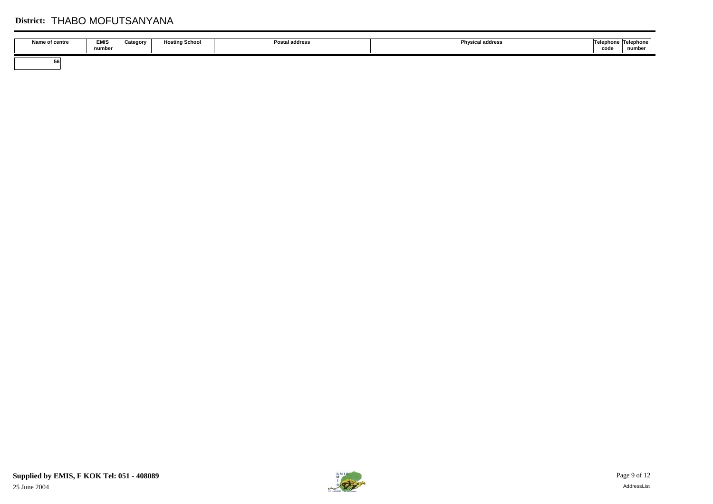## **District:** THABO MOFUTSANYANA

| Name of centre | EMIS<br>number | Category | <b>Hosting School</b> | <b>Postal address</b> | <b>Physical address</b> | <b>Tolonk</b><br>hane<br>cod | Telephone<br>number |
|----------------|----------------|----------|-----------------------|-----------------------|-------------------------|------------------------------|---------------------|
| OC.            |                |          |                       |                       |                         |                              |                     |

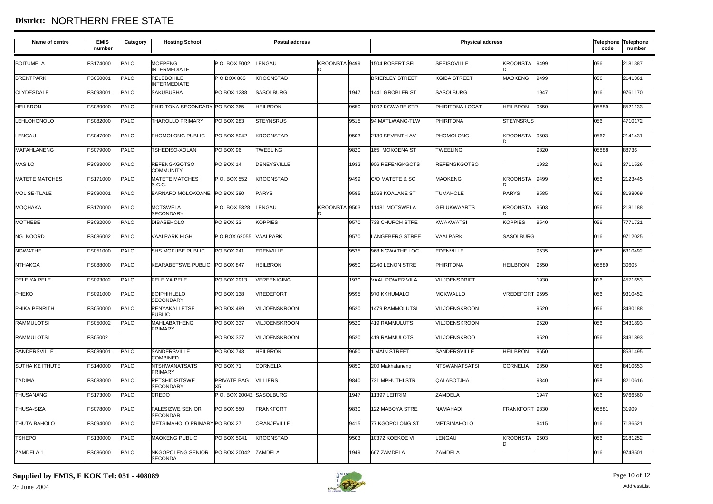## **District:** NORTHERN FREE STATE

| Name of centre         | <b>EMIS</b><br>number | Category    | <b>Hosting School</b>                      |                          | <b>Postal address</b> |               |      |                        | <b>Physical address</b> |                  |      | Telephone Telephone<br>code | number  |
|------------------------|-----------------------|-------------|--------------------------------------------|--------------------------|-----------------------|---------------|------|------------------------|-------------------------|------------------|------|-----------------------------|---------|
| <b>BOITUMELA</b>       | FS174000              | PALC        | <b>MOEPENG</b><br><b>INTERMEDIATE</b>      | P.O. BOX 5002            | LENGAU                | KROONSTA 9499 |      | 1504 ROBERT SEL        | <b>SEEISOVILLE</b>      | KROONSTA 9499    |      | 056                         | 2181387 |
| <b>BRENTPARK</b>       | FS050001              | PALC        | <b>RELEBOHILE</b><br><b>INTERMEDIATE</b>   | P O BOX 863              | <b>KROONSTAD</b>      |               |      | <b>BRIERLEY STREET</b> | <b>KGIBA STREET</b>     | <b>MAOKENG</b>   | 9499 | 056                         | 2141361 |
| <b>CLYDESDALE</b>      | FS093001              | PALC        | <b>SAKUBUSHA</b>                           | PO BOX 1238              | <b>SASOLBURG</b>      |               | 1947 | 1441 GROBLER ST        | <b>SASOLBURG</b>        |                  | 1947 | 016                         | 9761170 |
| <b>HEILBRON</b>        | FS089000              | PALC        | PHIRITONA SECONDARY PO BOX 365             |                          | <b>HEILBRON</b>       |               | 9650 | 1002 KGWARE STR        | PHIRITONA LOCAT         | <b>HEILBRON</b>  | 9650 | 05889                       | 8521133 |
| <b>LEHLOHONOLO</b>     | FS082000              | PALC        | THAROLLO PRIMARY                           | <b>PO BOX 283</b>        | <b>STEYNSRUS</b>      |               | 9515 | 94 MATLWANG-TLW        | PHIRITONA               | <b>STEYNSRUS</b> |      | 056                         | 4710172 |
| LENGAU                 | FS047000              | PALC        | PHOMOLONG PUBLIC                           | PO BOX 5042              | <b>KROONSTAD</b>      |               | 9503 | 2139 SEVENTH AV        | PHOMOLONG               | KROONSTA 9503    |      | 0562                        | 2141431 |
| <b>MAFAHLANENG</b>     | FS079000              | PALC        | TSHEDISO-XOLANI                            | PO BOX 96                | <b>TWEELING</b>       |               | 9820 | 165 MOKOENA ST         | <b>TWEELING</b>         |                  | 9820 | 05888                       | 88736   |
| <b>MASILO</b>          | FS093000              | PALC        | <b>REFENGKGOTSO</b><br><b>COMMUNITY</b>    | PO BOX 14                | <b>DENEYSVILLE</b>    |               | 1932 | 906 REFENGKGOTS        | <b>REFENGKGOTSO</b>     |                  | 1932 | 016                         | 3711526 |
| <b>MATETE MATCHES</b>  | FS171000              | PALC        | <b>MATETE MATCHES</b><br>S.C.C.            | P.O. BOX 552             | <b>KROONSTAD</b>      |               | 9499 | C/O MATETE & SC        | <b>MAOKENG</b>          | KROONSTA 9499    |      | 056                         | 2123445 |
| <b>MOLISE-TLALE</b>    | FS090001              | PALC        | BARNARD MOLOKOANE PO BOX 380               |                          | <b>PARYS</b>          |               | 9585 | 1068 KOALANE ST        | <b>TUMAHOLE</b>         | <b>PARYS</b>     | 9585 | 056                         | 8198069 |
| <b>MOQHAKA</b>         | <b>FS170000</b>       | PALC        | <b>MOTSWELA</b><br><b>SECONDARY</b>        | P.O. BOX 5328            | LENGAU                | KROONSTA 9503 |      | 11481 MOTSWELA         | <b>GELUKWAARTS</b>      | KROONSTA 9503    |      | 056                         | 2181188 |
| <b>MOTHEBE</b>         | FS092000              | PALC        | <b>DIBASEHOLO</b>                          | PO BOX 23                | <b>KOPPIES</b>        |               | 9570 | <b>738 CHURCH STRE</b> | <b>KWAKWATSI</b>        | <b>KOPPIES</b>   | 9540 | 056                         | 7771721 |
| <b>NG NOORD</b>        | FS086002              | PALC        | <b>VAALPARK HIGH</b>                       | P.O.BOX 62055 VAALPARK   |                       |               | 9570 | <b>LANGEBERG STREE</b> | <b>VAALPARK</b>         | <b>SASOLBURG</b> |      | 016                         | 9712025 |
| <b>NGWATHE</b>         | FS051000              | PALC        | SHS MOFUBE PUBLIC                          | PO BOX 241               | <b>EDENVILLE</b>      |               | 9535 | 968 NGWATHE LOC        | <b>EDENVILLE</b>        |                  | 9535 | 056                         | 6310492 |
| <b>NTHAKGA</b>         | FS088000              | PALC        | KEARABETSWE PUBLIC PO BOX 847              |                          | <b>HEILBRON</b>       |               | 9650 | 2240 LENON STRE        | <b>PHIRITONA</b>        | <b>HEILBRON</b>  | 9650 | 05889                       | 30605   |
| PELE YA PELE           | FS093002              | PALC        | PELE YA PELE                               | PO BOX 2913              | <b>VEREENIGING</b>    |               | 1930 | VAAL POWER VILA        | VILJOENSDRIFT           |                  | 1930 | 016                         | 4571653 |
| PHEKO                  | FS091000              | PALC        | <b>BOIPHIHLELO</b><br><b>SECONDARY</b>     | PO BOX 138               | VREDEFORT             |               | 9595 | 970 KKHUMALO           | <b>MOKWALLO</b>         | VREDEFORT 9595   |      | 056                         | 9310452 |
| PHIKA PENRITH          | FS050000              | PALC        | RENYAKALLETSE<br><b>PUBLIC</b>             | PO BOX 499               | VILJOENSKROON         |               | 9520 | 1479 RAMMOLUTSI        | <b>VILJOENSKROON</b>    |                  | 9520 | 056                         | 3430188 |
| <b>RAMMULOTSI</b>      | FS050002              | PALC        | <b>MAHLABATHENG</b><br>PRIMARY             | PO BOX 337               | <b>VILJOENSKROON</b>  |               | 9520 | 419 RAMMULUTSI         | VILJOENSKROON           |                  | 9520 | 056                         | 3431893 |
| <b>RAMMULOTSI</b>      | FS05002               |             |                                            | PO BOX 337               | VILJOENSKROON         |               | 9520 | 419 RAMMULOTSI         | <b>VILJOENSKROO</b>     |                  | 9520 | 056                         | 3431893 |
| SANDERSVILLE           | FS089001              | PALC        | SANDERSVILLE<br><b>COMBINED</b>            | <b>PO BOX 743</b>        | <b>HEILBRON</b>       |               | 9650 | 1 MAIN STREET          | SANDERSVILLE            | <b>HEILBRON</b>  | 9650 |                             | 8531495 |
| <b>SUTHA KE ITHUTE</b> | FS140000              | PALC        | <b>NTSHWANATSATSI</b><br>PRIMARY           | PO BOX 71                | CORNELIA              |               | 9850 | 200 Makhalaneng        | <b>NTSWANATSATSI</b>    | <b>CORNELIA</b>  | 9850 | 058                         | 8410653 |
| <b>TADIMA</b>          | FS083000              | PALC        | <b>RETSHIDISITSWE</b><br><b>SECONDARY</b>  | PRIVATE BAG              | <b>VILLIERS</b>       |               | 9840 | 731 MPHUTHI STR        | QALABOTJHA              |                  | 9840 | 058                         | 8210616 |
| THUSANANG              | FS173000              | <b>PALC</b> | CREDO                                      | P.O. BOX 20042 SASOLBURG |                       |               | 1947 | 11397 LEITRIM          | ZAMDELA                 |                  | 1947 | 016                         | 9766560 |
| <b>THUSA-SIZA</b>      | FS078000              | PALC        | <b>FALESIZWE SENIOR</b><br><b>SECONDAR</b> | PO BOX 550               | <b>FRANKFORT</b>      |               | 9830 | 122 MABOYA STRE        | <b>NAMAHADI</b>         | FRANKFORT 9830   |      | 05881                       | 31909   |
| <b>THUTA BAHOLO</b>    | FS094000              | <b>PALC</b> | METSIMAHOLO PRIMARY PO BOX 27              |                          | <b>ORANJEVILLE</b>    |               | 9415 | 77 KGOPOLONG ST        | <b>METSIMAHOLO</b>      |                  | 9415 | 016                         | 7136521 |
| <b>TSHEPO</b>          | FS130000              | PALC        | <b>MAOKENG PUBLIC</b>                      | PO BOX 5041              | <b>KROONSTAD</b>      |               | 9503 | 10372 KOEKOE VI        | LENGAU                  | KROONSTA 9503    |      | 056                         | 2181252 |
| ZAMDELA 1              | FS086000              | PALC        | NKGOPOLENG SENIOR<br><b>SECONDA</b>        | PO BOX 20042             | ZAMDELA               |               | 1949 | 667 ZAMDELA            | <b>ZAMDELA</b>          |                  |      | 016                         | 9743501 |

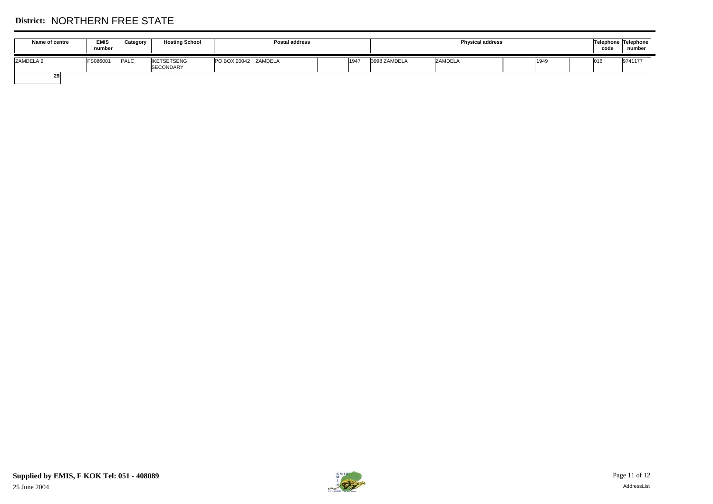# **District:** NORTHERN FREE STATE

| Name of centre | <b>EMIS</b><br>number | Category    | <b>Hosting School</b>           | Postal address          |      |              | <b>Physical address</b> |      | code | Telephone Telephone<br>number |
|----------------|-----------------------|-------------|---------------------------------|-------------------------|------|--------------|-------------------------|------|------|-------------------------------|
| ZAMDELA 2      | <b>FS086001</b>       | <b>PALC</b> | <b>IKETSETSENG</b><br>SECONDARY | PO BOX 20042<br>ZAMDELA | 1947 | 3998 ZAMDELA | <b>ZAMDELA</b>          | 1949 | 016  | 9741177                       |
| 29             |                       |             |                                 |                         |      |              |                         |      |      |                               |